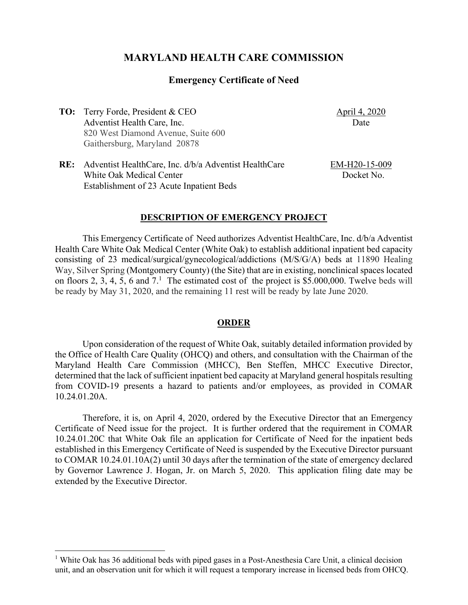# **MARYLAND HEALTH CARE COMMISSION**

### **Emergency Certificate of Need**

**TO:** Terry Forde, President & CEO Adventist Health Care, Inc. 820 West Diamond Avenue, Suite 600 Gaithersburg, Maryland 20878

April 4, 2020 Date

**RE:** Adventist HealthCare, Inc. d/b/a Adventist HealthCare White Oak Medical Center Establishment of 23 Acute Inpatient Beds

EM-H20-15-009 Docket No.

#### **DESCRIPTION OF EMERGENCY PROJECT**

This Emergency Certificate of Need authorizes Adventist HealthCare, Inc. d/b/a Adventist Health Care White Oak Medical Center (White Oak) to establish additional inpatient bed capacity consisting of 23 medical/surgical/gynecological/addictions (M/S/G/A) beds at 11890 Healing Way, Silver Spring (Montgomery County) (the Site) that are in existing, nonclinical spaces located on floors 2, 3, 4, 5, 6 and  $7<sup>1</sup>$ . The estimated cost of the project is \$5.000,000. Twelve beds will be ready by May 31, 2020, and the remaining 11 rest will be ready by late June 2020.

#### **ORDER**

Upon consideration of the request of White Oak, suitably detailed information provided by the Office of Health Care Quality (OHCQ) and others, and consultation with the Chairman of the Maryland Health Care Commission (MHCC), Ben Steffen, MHCC Executive Director, determined that the lack of sufficient inpatient bed capacity at Maryland general hospitals resulting from COVID-19 presents a hazard to patients and/or employees, as provided in COMAR 10.24.01.20A.

Therefore, it is, on April 4, 2020, ordered by the Executive Director that an Emergency Certificate of Need issue for the project. It is further ordered that the requirement in COMAR 10.24.01.20C that White Oak file an application for Certificate of Need for the inpatient beds established in this Emergency Certificate of Need is suspended by the Executive Director pursuant to COMAR 10.24.01.10A(2) until 30 days after the termination of the state of emergency declared by Governor Lawrence J. Hogan, Jr. on March 5, 2020. This application filing date may be extended by the Executive Director.

<sup>&</sup>lt;sup>1</sup> White Oak has 36 additional beds with piped gases in a Post-Anesthesia Care Unit, a clinical decision unit, and an observation unit for which it will request a temporary increase in licensed beds from OHCQ.